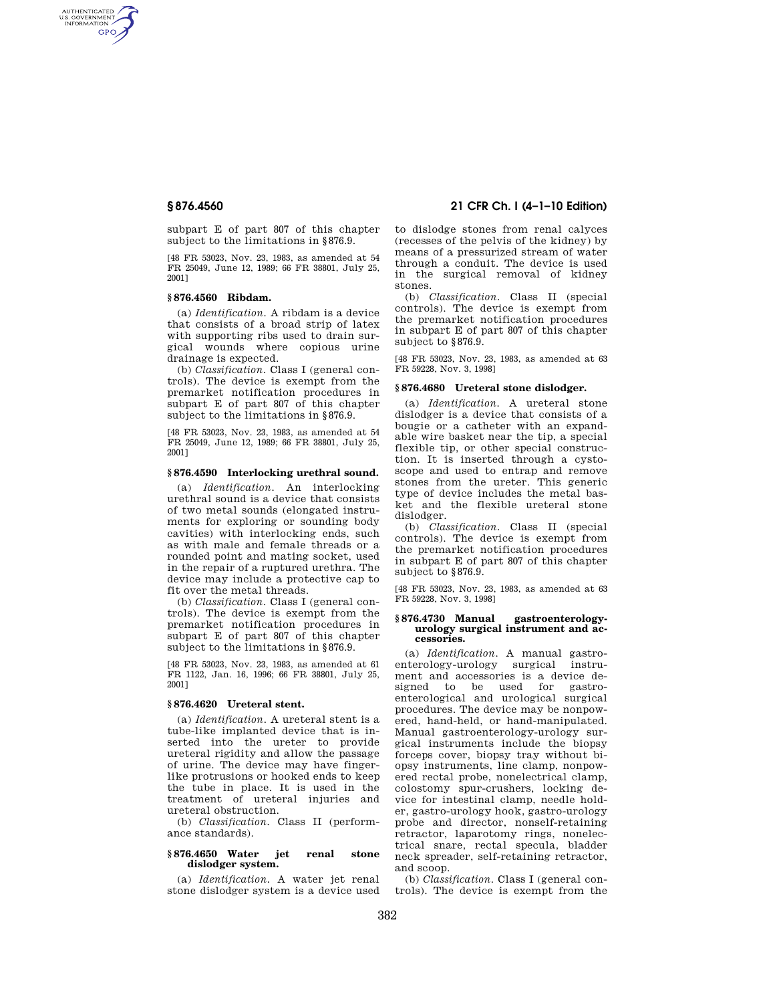AUTHENTICATED<br>U.S. GOVERNMENT<br>INFORMATION **GPO** 

> subpart E of part 807 of this chapter subject to the limitations in §876.9.

> [48 FR 53023, Nov. 23, 1983, as amended at 54 FR 25049, June 12, 1989; 66 FR 38801, July 25, 2001]

## **§ 876.4560 Ribdam.**

(a) *Identification.* A ribdam is a device that consists of a broad strip of latex with supporting ribs used to drain surgical wounds where copious urine drainage is expected.

(b) *Classification.* Class I (general controls). The device is exempt from the premarket notification procedures in subpart E of part 807 of this chapter subject to the limitations in §876.9.

[48 FR 53023, Nov. 23, 1983, as amended at 54 FR 25049, June 12, 1989; 66 FR 38801, July 25, 2001]

## **§ 876.4590 Interlocking urethral sound.**

(a) *Identification.* An interlocking urethral sound is a device that consists of two metal sounds (elongated instruments for exploring or sounding body cavities) with interlocking ends, such as with male and female threads or a rounded point and mating socket, used in the repair of a ruptured urethra. The device may include a protective cap to fit over the metal threads.

(b) *Classification.* Class I (general controls). The device is exempt from the premarket notification procedures in subpart E of part 807 of this chapter subject to the limitations in §876.9.

[48 FR 53023, Nov. 23, 1983, as amended at 61 FR 1122, Jan. 16, 1996; 66 FR 38801, July 25, 2001]

#### **§ 876.4620 Ureteral stent.**

(a) *Identification.* A ureteral stent is a tube-like implanted device that is inserted into the ureter to provide ureteral rigidity and allow the passage of urine. The device may have fingerlike protrusions or hooked ends to keep the tube in place. It is used in the treatment of ureteral injuries and ureteral obstruction.

(b) *Classification.* Class II (performance standards).

## **§ 876.4650 Water jet renal stone dislodger system.**

(a) *Identification.* A water jet renal stone dislodger system is a device used

# **§ 876.4560 21 CFR Ch. I (4–1–10 Edition)**

to dislodge stones from renal calyces (recesses of the pelvis of the kidney) by means of a pressurized stream of water through a conduit. The device is used in the surgical removal of kidney stones.

(b) *Classification.* Class II (special controls). The device is exempt from the premarket notification procedures in subpart E of part 807 of this chapter subject to §876.9.

[48 FR 53023, Nov. 23, 1983, as amended at 63 FR 59228, Nov. 3, 1998]

## **§ 876.4680 Ureteral stone dislodger.**

(a) *Identification.* A ureteral stone dislodger is a device that consists of a bougie or a catheter with an expandable wire basket near the tip, a special flexible tip, or other special construction. It is inserted through a cystoscope and used to entrap and remove stones from the ureter. This generic type of device includes the metal basket and the flexible ureteral stone dislodger.

(b) *Classification.* Class II (special controls). The device is exempt from the premarket notification procedures in subpart E of part 807 of this chapter subject to §876.9.

[48 FR 53023, Nov. 23, 1983, as amended at 63 FR 59228, Nov. 3, 1998]

#### **§ 876.4730 Manual gastroenterologyurology surgical instrument and accessories.**

(a) *Identification.* A manual gastroenterology-urology surgical instrument and accessories is a device designed to be used for gastroenterological and urological surgical procedures. The device may be nonpowered, hand-held, or hand-manipulated. Manual gastroenterology-urology surgical instruments include the biopsy forceps cover, biopsy tray without biopsy instruments, line clamp, nonpowered rectal probe, nonelectrical clamp, colostomy spur-crushers, locking device for intestinal clamp, needle holder, gastro-urology hook, gastro-urology probe and director, nonself-retaining retractor, laparotomy rings, nonelectrical snare, rectal specula, bladder neck spreader, self-retaining retractor, and scoop.

(b) *Classification.* Class I (general controls). The device is exempt from the